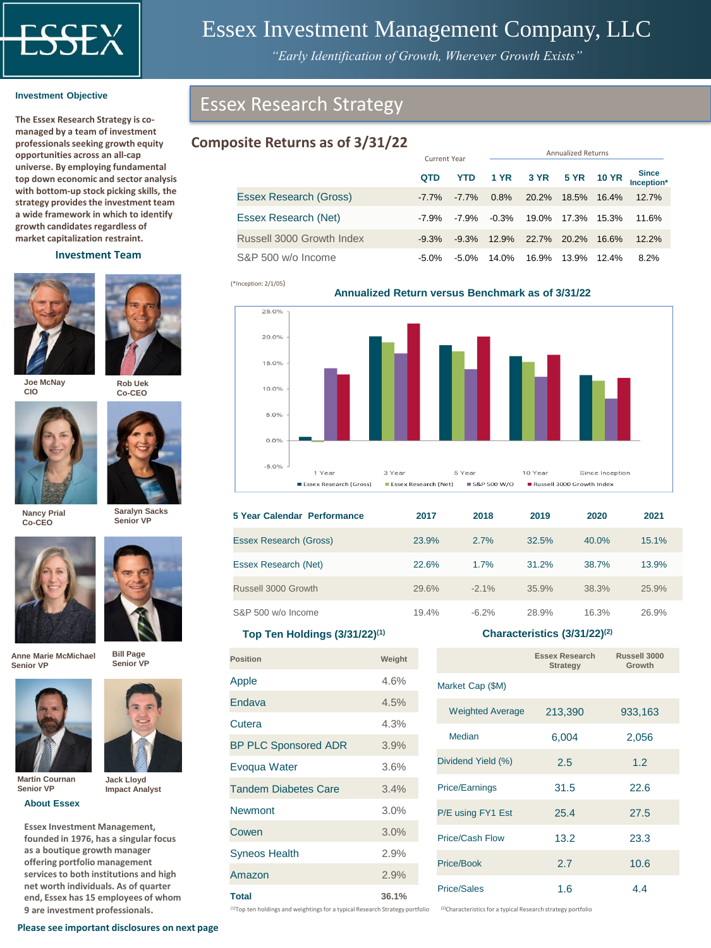

# Essex Investment Management Company, LLC

*"Early Identification of Growth, Wherever Growth Exists"*

**The Essex Research Strategy is comanaged by a team of investment professionals seeking growth equity opportunities across an all‐cap universe. By employing fundamental top down economic and sector analysis with bottom‐up stock picking skills, the strategy provides the investment team a wide framework in which to identify growth candidates regardless of market capitalization restraint.** 

## **Investment Team**





**Rob Uek Co-CEO**

**Joe McNay CIO**



**Saralyn Sacks Senior VP**

**Nancy Prial Co-CEO**





**Anne Marie McMichael Senior VP**



**Jack Lloyd Impact Analyst**

**Bill Page**



**Martin Cournan Senior VP**

**About Essex**

**Essex Investment Management, founded in 1976, has a singular focus as a boutique growth manager offering portfolio management services to both institutions and high net worth individuals. As of quarter end, Essex has 15 employees of whom 9 are investment professionals.** 

# **Composite Returns as of 3/31/22**

|                           |            | Current Year |         | Allitudilleu Neturiis |             |              |                            |
|---------------------------|------------|--------------|---------|-----------------------|-------------|--------------|----------------------------|
|                           | <b>QTD</b> | <b>YTD</b>   |         | 1 YR 3 YR             | <b>5 YR</b> | <b>10 YR</b> | <b>Since</b><br>Inception* |
| Essex Research (Gross)    | $-7.7\%$   | $-7.7\%$     | 0.8%    | 20.2%                 | 18.5%       | 16.4%        | 12.7%                      |
| Essex Research (Net)      | -7.9%      | $-7.9\%$     | $-0.3%$ | 19.0%                 | 17.3%       | 15.3%        | 11.6%                      |
| Russell 3000 Growth Index | $-9.3\%$   | $-9.3%$      | 12.9%   | 22.7%                 | $20.2\%$    | 16.6%        | 12.2%                      |
| S&P 500 w/o Income        | -5.0%      | $-5.0\%$     | 14.0%   | 16.9%                 | 13.9%       | $12.4\%$     | 8.2%                       |

(\*Inception: 2/1/05)





| 5 Year Calendar Performance   | 2017  | 2018     | 2019  | 2020  | 2021  |
|-------------------------------|-------|----------|-------|-------|-------|
| <b>Essex Research (Gross)</b> | 23.9% | 2.7%     | 32.5% | 40.0% | 15.1% |
| <b>Essex Research (Net)</b>   | 22.6% | 1.7%     | 31.2% | 38.7% | 13.9% |
| Russell 3000 Growth           | 29.6% | $-2.1\%$ | 35.9% | 38.3% | 25.9% |
| S&P 500 w/o Income            | 19.4% | $-6.2%$  | 28.9% | 16.3% | 26.9% |

## **Top Ten Holdings (3/31/22)(1)**

| <b>Position</b>             | Weight |
|-----------------------------|--------|
| Apple                       | 4.6%   |
| <b>Endava</b>               | 4.5%   |
| Cutera                      | 4.3%   |
| <b>BP PLC Sponsored ADR</b> | 3.9%   |
| Evoqua Water                | 3.6%   |
| <b>Tandem Diabetes Care</b> | 3.4%   |
| <b>Newmont</b>              | 3.0%   |
| Cowen                       | 3.0%   |
| <b>Syneos Health</b>        | 2.9%   |
| Amazon                      | 2.9%   |
| <b>Total</b>                | 36.1%  |

## **Characteristics (3/31/22)(2)**

Annualized Returns

|                         | Essex Research<br>Strategy | Russell 3000<br>Growth |
|-------------------------|----------------------------|------------------------|
| Market Cap (\$M)        |                            |                        |
| <b>Weighted Average</b> | 213,390                    | 933,163                |
| Median                  | 6,004                      | 2,056                  |
| Dividend Yield (%)      | 2.5                        | 1.2                    |
| Price/Earnings          | 31.5                       | 22.6                   |
| P/E using FY1 Est       | 25.4                       | 27.5                   |
| Price/Cash Flow         | 13.2                       | 23.3                   |
| Price/Book              | 2.7                        | 10.6                   |
| <b>Price/Sales</b>      | 1.6                        | 4.4                    |

<sup>(1)</sup>Top ten holdings and weightings for a typical Research Strategy portfolio <sup>(2)</sup>Characteristics for a typical Research strategy portfolio